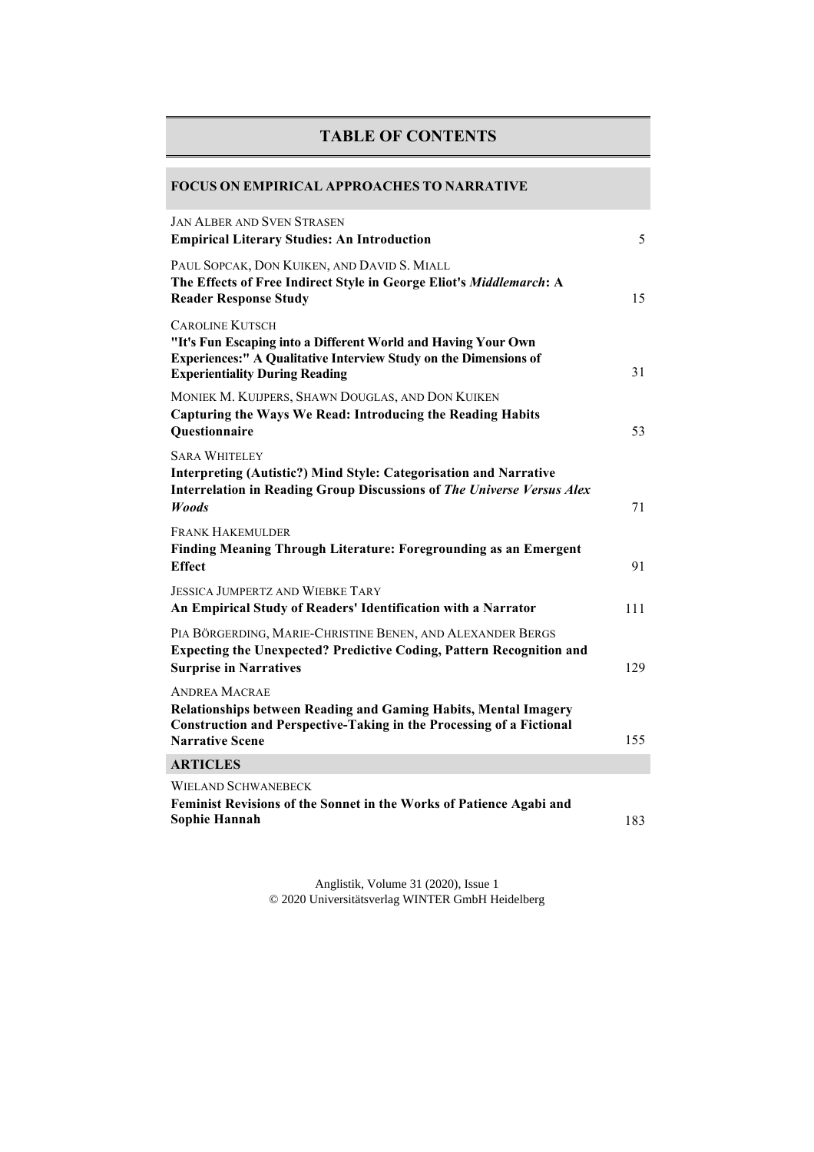## **TABLE OF CONTENTS**

## **FOCUS ON EMPIRICAL APPROACHES TO NARRATIVE**

| <b>JAN ALBER AND SVEN STRASEN</b><br><b>Empirical Literary Studies: An Introduction</b>                                                                                                                     | 5   |
|-------------------------------------------------------------------------------------------------------------------------------------------------------------------------------------------------------------|-----|
| PAUL SOPCAK, DON KUIKEN, AND DAVID S. MIALL<br>The Effects of Free Indirect Style in George Eliot's Middlemarch: A<br><b>Reader Response Study</b>                                                          | 15  |
| <b>CAROLINE KUTSCH</b><br>"It's Fun Escaping into a Different World and Having Your Own<br><b>Experiences:" A Qualitative Interview Study on the Dimensions of</b><br><b>Experientiality During Reading</b> | 31  |
| MONIEK M. KUIJPERS, SHAWN DOUGLAS, AND DON KUIKEN<br>Capturing the Ways We Read: Introducing the Reading Habits<br>Questionnaire                                                                            | 53  |
| <b>SARA WHITELEY</b><br><b>Interpreting (Autistic?) Mind Style: Categorisation and Narrative</b><br>Interrelation in Reading Group Discussions of The Universe Versus Alex<br><b>Woods</b>                  | 71  |
| <b>FRANK HAKEMULDER</b><br>Finding Meaning Through Literature: Foregrounding as an Emergent<br><b>Effect</b>                                                                                                | 91  |
| <b>JESSICA JUMPERTZ AND WIEBKE TARY</b><br>An Empirical Study of Readers' Identification with a Narrator                                                                                                    | 111 |
| PIA BÖRGERDING, MARIE-CHRISTINE BENEN, AND ALEXANDER BERGS<br><b>Expecting the Unexpected? Predictive Coding, Pattern Recognition and</b><br><b>Surprise in Narratives</b>                                  | 129 |
| <b>ANDREA MACRAE</b><br><b>Relationships between Reading and Gaming Habits, Mental Imagery</b><br><b>Construction and Perspective-Taking in the Processing of a Fictional</b><br><b>Narrative Scene</b>     | 155 |
| <b>ARTICLES</b>                                                                                                                                                                                             |     |
| <b>WIELAND SCHWANEBECK</b><br>Feminist Revisions of the Sonnet in the Works of Patience Agabi and<br>Sophie Hannah                                                                                          | 183 |